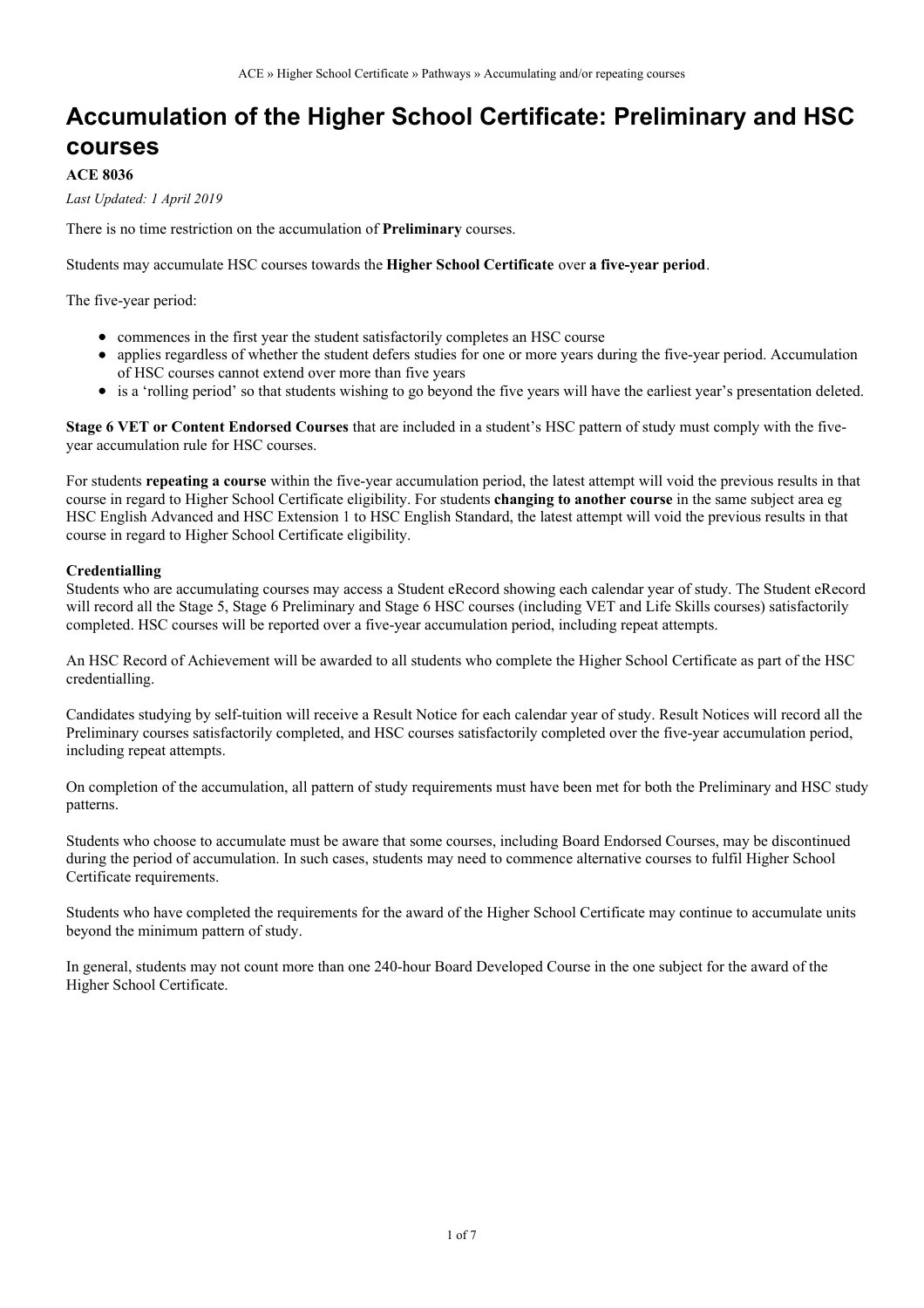### **Accumulation of the Higher School Certificate: Preliminary and HSC courses**

#### **ACE 8036**

*Last Updated: 1 April 2019*

There is no time restriction on the accumulation of **Preliminary** courses.

Students may accumulate HSC courses towards the **Higher School Certificate** over **a five-year period**.

The five-year period:

- commences in the first year the student satisfactorily completes an HSC course
- applies regardless of whether the student defers studies for one or more years during the five-year period. Accumulation of HSC courses cannot extend over more than five years
- is a 'rolling period' so that students wishing to go beyond the five years will have the earliest year's presentation deleted.

**Stage 6 VET or Content Endorsed Courses** that are included in a student's HSC pattern of study must comply with the fiveyear accumulation rule for HSC courses.

For students **repeating a course** within the five-year accumulation period, the latest attempt will void the previous results in that course in regard to Higher School Certificate eligibility. For students **changing to another course** in the same subject area eg HSC English Advanced and HSC Extension 1 to HSC English Standard, the latest attempt will void the previous results in that course in regard to Higher School Certificate eligibility.

#### **Credentialling**

Students who are accumulating courses may access a Student eRecord showing each calendar year of study. The Student eRecord will record all the Stage 5, Stage 6 Preliminary and Stage 6 HSC courses (including VET and Life Skills courses) satisfactorily completed. HSC courses will be reported over a five-year accumulation period, including repeat attempts.

An HSC Record of Achievement will be awarded to all students who complete the Higher School Certificate as part of the HSC credentialling.

Candidates studying by self-tuition will receive a Result Notice for each calendar year of study. Result Notices will record all the Preliminary courses satisfactorily completed, and HSC courses satisfactorily completed over the five-year accumulation period, including repeat attempts.

On completion of the accumulation, all pattern of study requirements must have been met for both the Preliminary and HSC study patterns.

Students who choose to accumulate must be aware that some courses, including Board Endorsed Courses, may be discontinued during the period of accumulation. In such cases, students may need to commence alternative courses to fulfil Higher School Certificate requirements.

Students who have completed the requirements for the award of the Higher School Certificate may continue to accumulate units beyond the minimum pattern of study.

In general, students may not count more than one 240-hour Board Developed Course in the one subject for the award of the Higher School Certificate.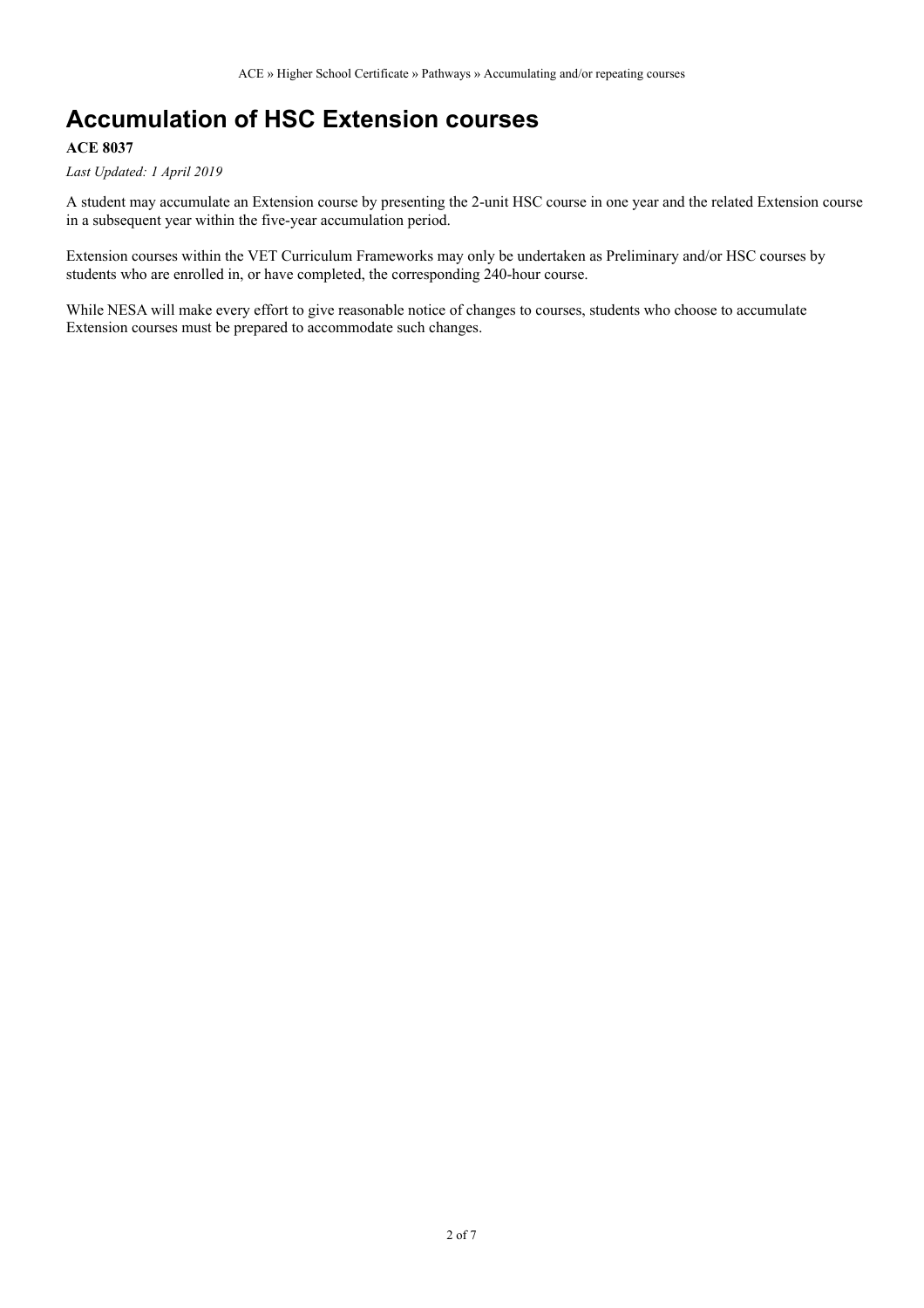## **Accumulation of HSC Extension courses**

### **ACE 8037**

*Last Updated: 1 April 2019*

A student may accumulate an Extension course by presenting the 2-unit HSC course in one year and the related Extension course in a subsequent year within the five-year accumulation period.

Extension courses within the VET Curriculum Frameworks may only be undertaken as Preliminary and/or HSC courses by students who are enrolled in, or have completed, the corresponding 240-hour course.

While NESA will make every effort to give reasonable notice of changes to courses, students who choose to accumulate Extension courses must be prepared to accommodate such changes.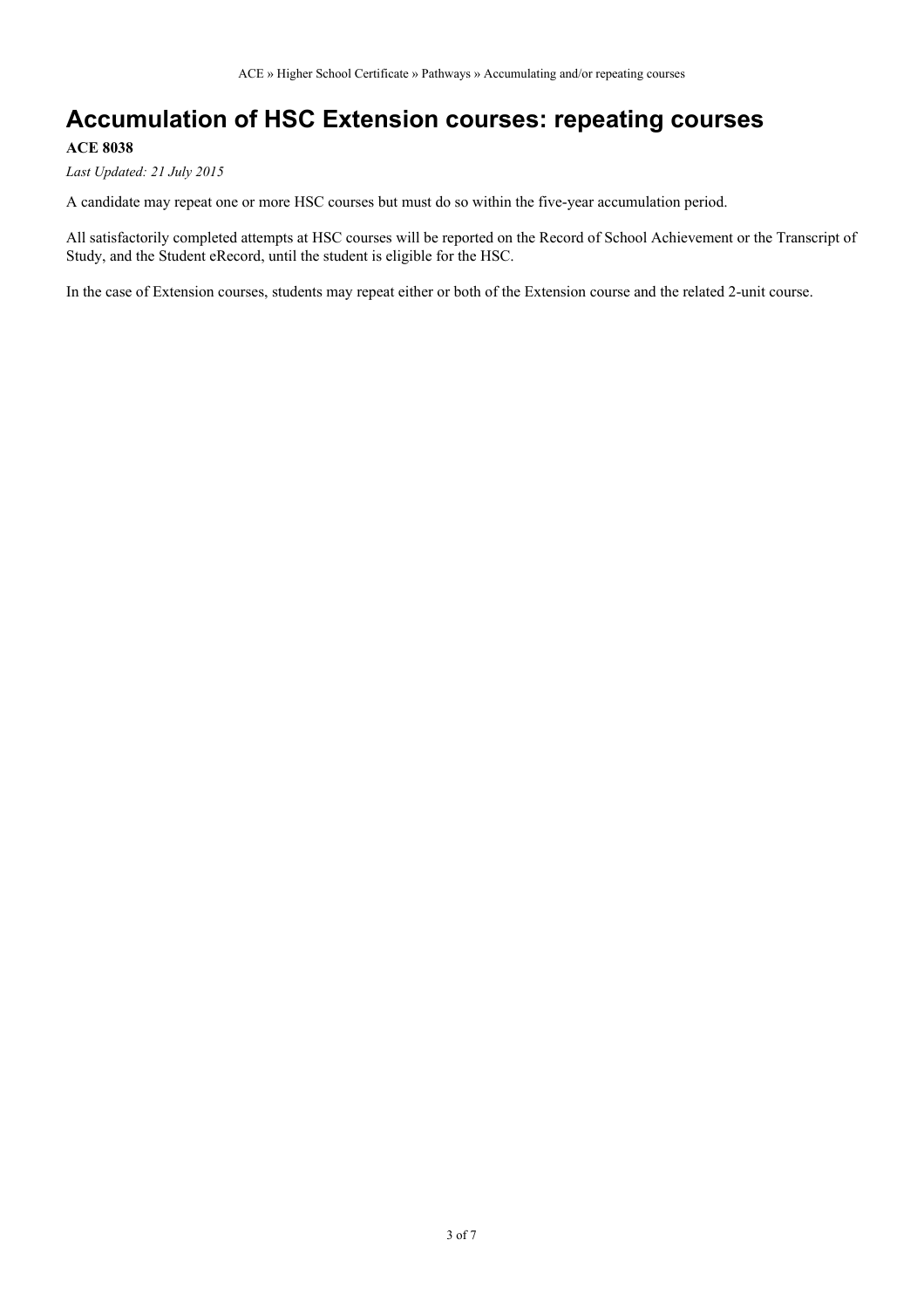## **Accumulation of HSC Extension courses: repeating courses**

### **ACE 8038**

*Last Updated: 21 July 2015*

A candidate may repeat one or more HSC courses but must do so within the five-year accumulation period.

All satisfactorily completed attempts at HSC courses will be reported on the Record of School Achievement or the Transcript of Study, and the Student eRecord, until the student is eligible for the HSC.

In the case of Extension courses, students may repeat either or both of the Extension course and the related 2-unit course.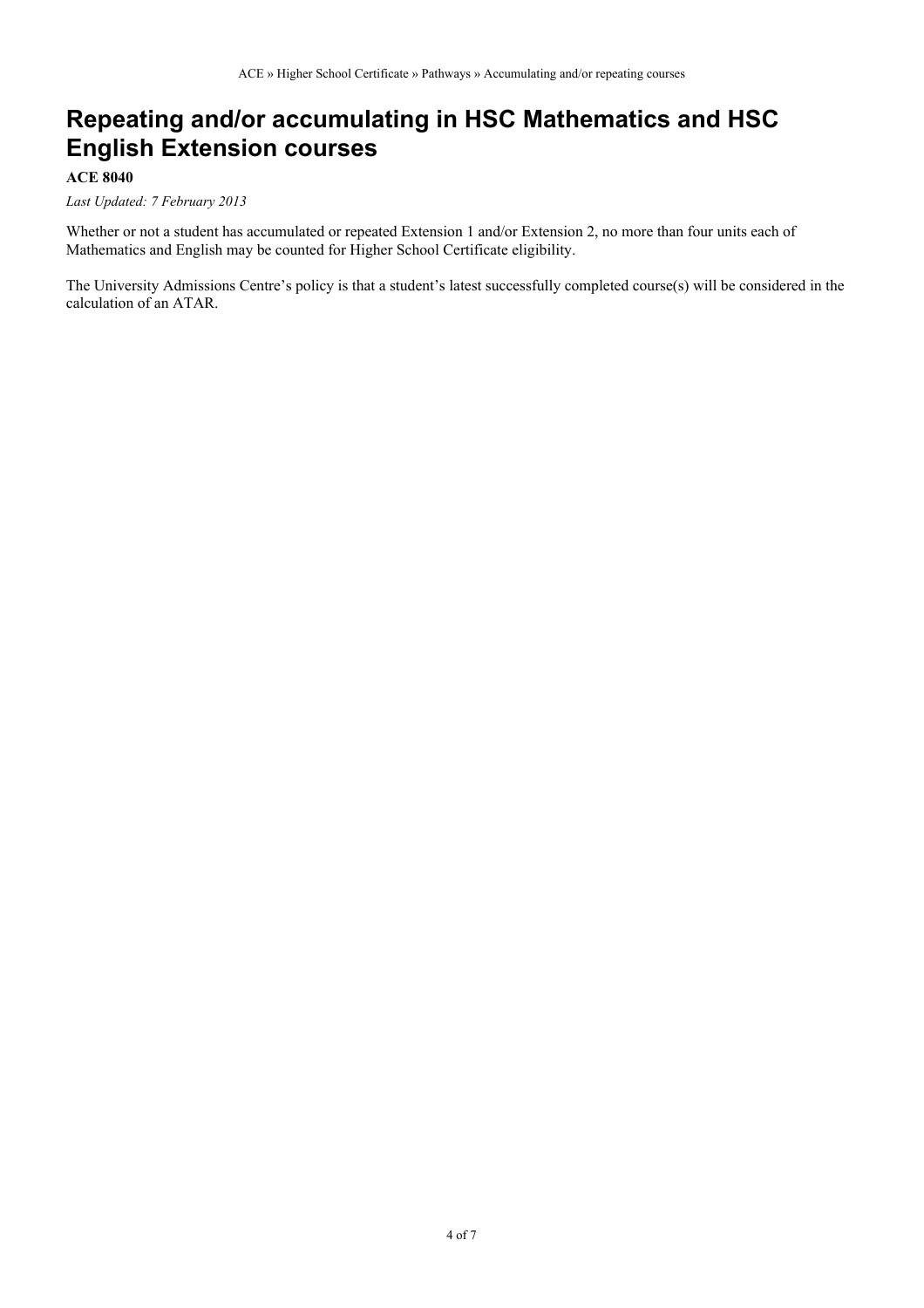## **Repeating and/or accumulating in HSC Mathematics and HSC English Extension courses**

#### **ACE 8040**

#### *Last Updated: 7 February 2013*

Whether or not a student has accumulated or repeated Extension 1 and/or Extension 2, no more than four units each of Mathematics and English may be counted for Higher School Certificate eligibility.

The University Admissions Centre's policy is that a student's latest successfully completed course(s) will be considered in the calculation of an ATAR.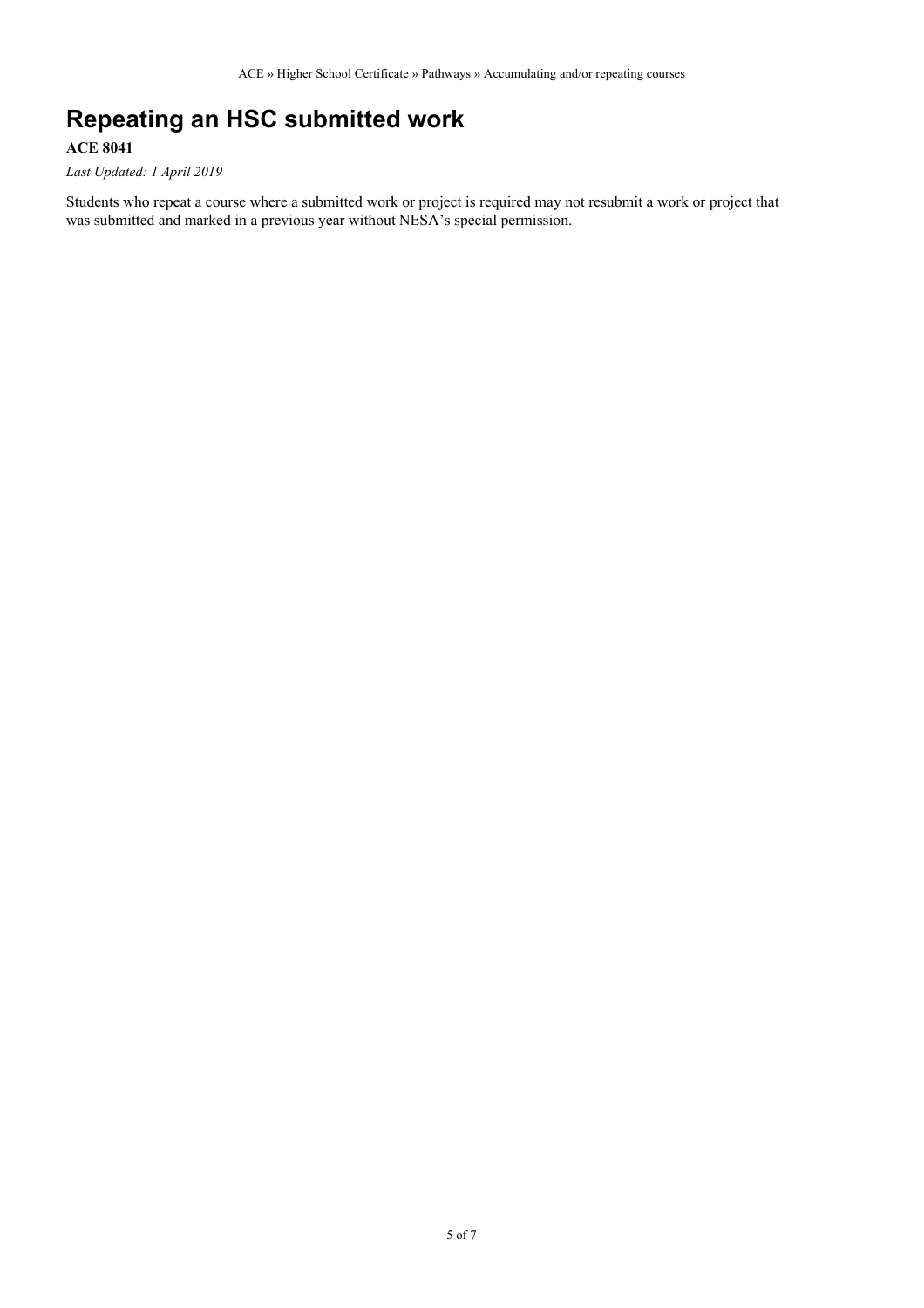# **Repeating an HSC submitted work**

### **ACE 8041**

*Last Updated: 1 April 2019*

Students who repeat a course where a submitted work or project is required may not resubmit a work or project that was submitted and marked in a previous year without NESA's special permission.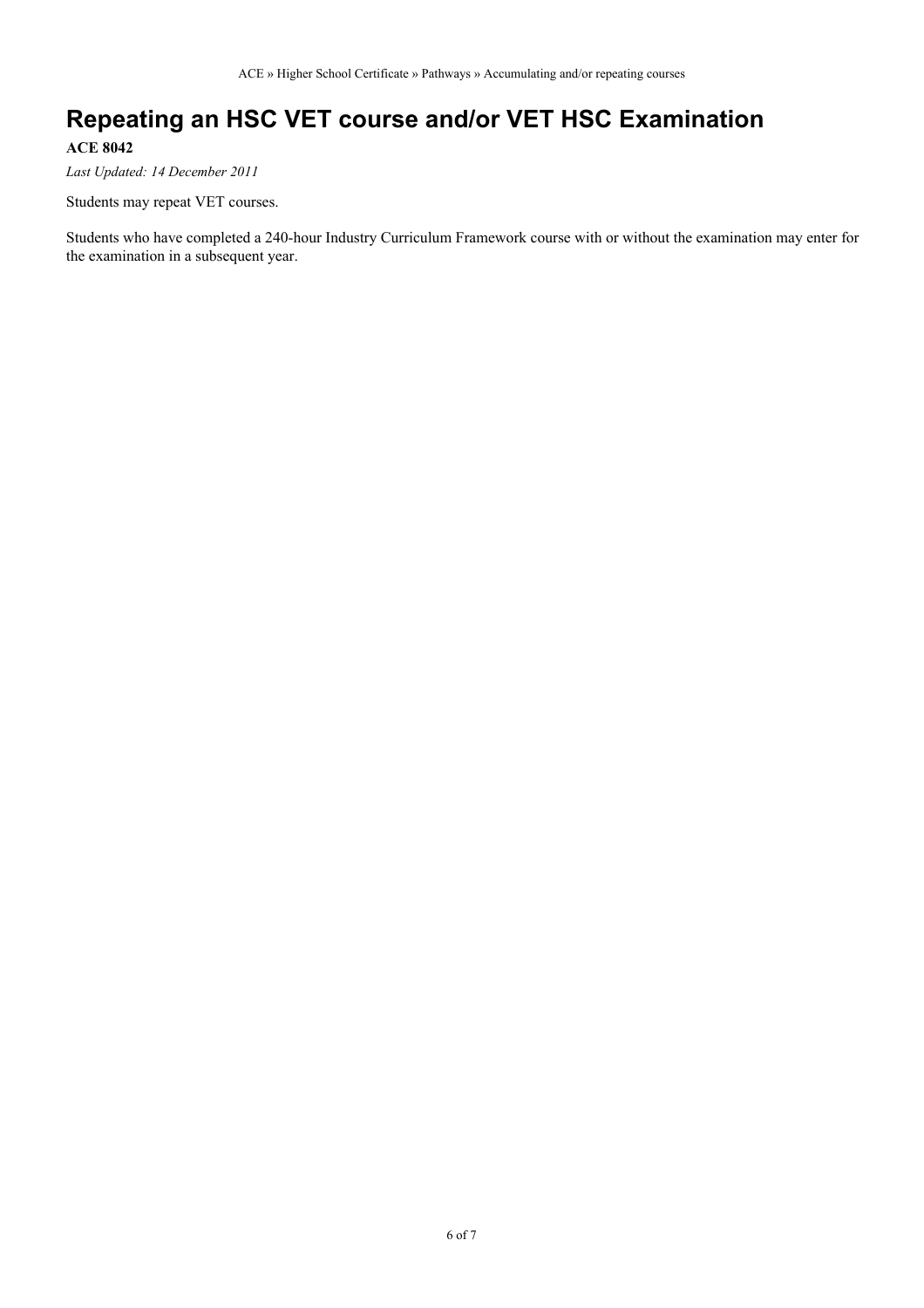## **Repeating an HSC VET course and/or VET HSC Examination**

**ACE 8042**

*Last Updated: 14 December 2011*

Students may repeat VET courses.

Students who have completed a 240-hour Industry Curriculum Framework course with or without the examination may enter for the examination in a subsequent year.